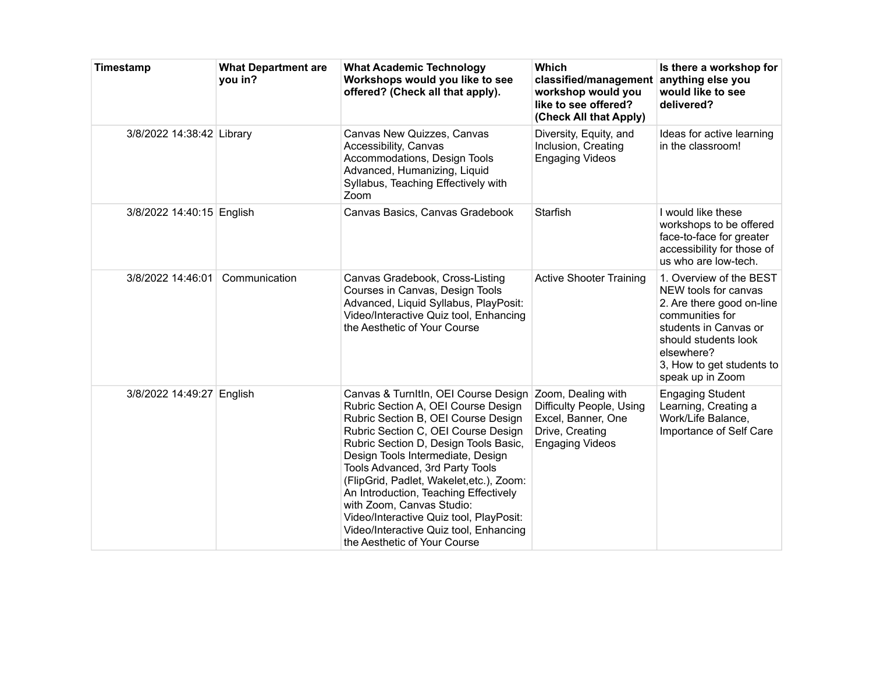| Timestamp                 | <b>What Department are</b><br>you in? | <b>What Academic Technology</b><br>Workshops would you like to see<br>offered? (Check all that apply).                                                                                                                                                                                                                                                                                                                                                                                                            | <b>Which</b><br>classified/management<br>workshop would you<br>like to see offered?<br>(Check All that Apply)     | Is there a workshop for<br>anything else you<br>would like to see<br>delivered?                                                                                                                                 |
|---------------------------|---------------------------------------|-------------------------------------------------------------------------------------------------------------------------------------------------------------------------------------------------------------------------------------------------------------------------------------------------------------------------------------------------------------------------------------------------------------------------------------------------------------------------------------------------------------------|-------------------------------------------------------------------------------------------------------------------|-----------------------------------------------------------------------------------------------------------------------------------------------------------------------------------------------------------------|
| 3/8/2022 14:38:42 Library |                                       | Canvas New Quizzes, Canvas<br>Accessibility, Canvas<br>Accommodations, Design Tools<br>Advanced, Humanizing, Liquid<br>Syllabus, Teaching Effectively with<br>Zoom                                                                                                                                                                                                                                                                                                                                                | Diversity, Equity, and<br>Inclusion, Creating<br><b>Engaging Videos</b>                                           | Ideas for active learning<br>in the classroom!                                                                                                                                                                  |
| 3/8/2022 14:40:15 English |                                       | Canvas Basics, Canvas Gradebook                                                                                                                                                                                                                                                                                                                                                                                                                                                                                   | <b>Starfish</b>                                                                                                   | I would like these<br>workshops to be offered<br>face-to-face for greater<br>accessibility for those of<br>us who are low-tech.                                                                                 |
| 3/8/2022 14:46:01         | Communication                         | Canvas Gradebook, Cross-Listing<br>Courses in Canvas, Design Tools<br>Advanced, Liquid Syllabus, PlayPosit:<br>Video/Interactive Quiz tool, Enhancing<br>the Aesthetic of Your Course                                                                                                                                                                                                                                                                                                                             | <b>Active Shooter Training</b>                                                                                    | 1. Overview of the BEST<br>NEW tools for canvas<br>2. Are there good on-line<br>communities for<br>students in Canvas or<br>should students look<br>elsewhere?<br>3, How to get students to<br>speak up in Zoom |
| 3/8/2022 14:49:27 English |                                       | Canvas & TurnItIn, OEI Course Design<br>Rubric Section A, OEI Course Design<br>Rubric Section B, OEI Course Design<br>Rubric Section C, OEI Course Design<br>Rubric Section D, Design Tools Basic,<br>Design Tools Intermediate, Design<br>Tools Advanced, 3rd Party Tools<br>(FlipGrid, Padlet, Wakelet, etc.), Zoom:<br>An Introduction, Teaching Effectively<br>with Zoom, Canvas Studio:<br>Video/Interactive Quiz tool, PlayPosit:<br>Video/Interactive Quiz tool, Enhancing<br>the Aesthetic of Your Course | Zoom, Dealing with<br>Difficulty People, Using<br>Excel, Banner, One<br>Drive, Creating<br><b>Engaging Videos</b> | <b>Engaging Student</b><br>Learning, Creating a<br>Work/Life Balance,<br>Importance of Self Care                                                                                                                |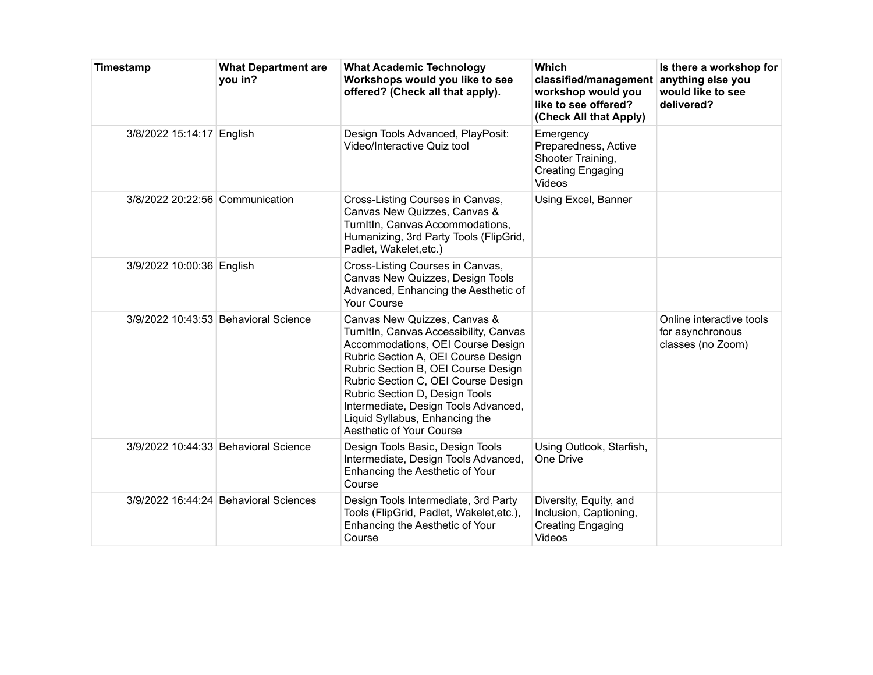| Timestamp                       | <b>What Department are</b><br>you in? | <b>What Academic Technology</b><br>Workshops would you like to see<br>offered? (Check all that apply).                                                                                                                                                                                                                                                                   | <b>Which</b><br>classified/management<br>workshop would you<br>like to see offered?<br>(Check All that Apply) | Is there a workshop for<br>anything else you<br>would like to see<br>delivered? |
|---------------------------------|---------------------------------------|--------------------------------------------------------------------------------------------------------------------------------------------------------------------------------------------------------------------------------------------------------------------------------------------------------------------------------------------------------------------------|---------------------------------------------------------------------------------------------------------------|---------------------------------------------------------------------------------|
| 3/8/2022 15:14:17 English       |                                       | Design Tools Advanced, PlayPosit:<br>Video/Interactive Quiz tool                                                                                                                                                                                                                                                                                                         | Emergency<br>Preparedness, Active<br>Shooter Training,<br><b>Creating Engaging</b><br>Videos                  |                                                                                 |
| 3/8/2022 20:22:56 Communication |                                       | Cross-Listing Courses in Canvas,<br>Canvas New Quizzes, Canvas &<br>TurnItIn, Canvas Accommodations,<br>Humanizing, 3rd Party Tools (FlipGrid,<br>Padlet, Wakelet, etc.)                                                                                                                                                                                                 | Using Excel, Banner                                                                                           |                                                                                 |
| 3/9/2022 10:00:36 English       |                                       | Cross-Listing Courses in Canvas,<br>Canvas New Quizzes, Design Tools<br>Advanced, Enhancing the Aesthetic of<br>Your Course                                                                                                                                                                                                                                              |                                                                                                               |                                                                                 |
|                                 | 3/9/2022 10:43:53 Behavioral Science  | Canvas New Quizzes, Canvas &<br>TurnItIn, Canvas Accessibility, Canvas<br>Accommodations, OEI Course Design<br>Rubric Section A, OEI Course Design<br>Rubric Section B, OEI Course Design<br>Rubric Section C, OEI Course Design<br>Rubric Section D, Design Tools<br>Intermediate, Design Tools Advanced,<br>Liquid Syllabus, Enhancing the<br>Aesthetic of Your Course |                                                                                                               | Online interactive tools<br>for asynchronous<br>classes (no Zoom)               |
|                                 | 3/9/2022 10:44:33 Behavioral Science  | Design Tools Basic, Design Tools<br>Intermediate, Design Tools Advanced,<br>Enhancing the Aesthetic of Your<br>Course                                                                                                                                                                                                                                                    | Using Outlook, Starfish,<br>One Drive                                                                         |                                                                                 |
|                                 | 3/9/2022 16:44:24 Behavioral Sciences | Design Tools Intermediate, 3rd Party<br>Tools (FlipGrid, Padlet, Wakelet, etc.),<br>Enhancing the Aesthetic of Your<br>Course                                                                                                                                                                                                                                            | Diversity, Equity, and<br>Inclusion, Captioning,<br>Creating Engaging<br><b>Videos</b>                        |                                                                                 |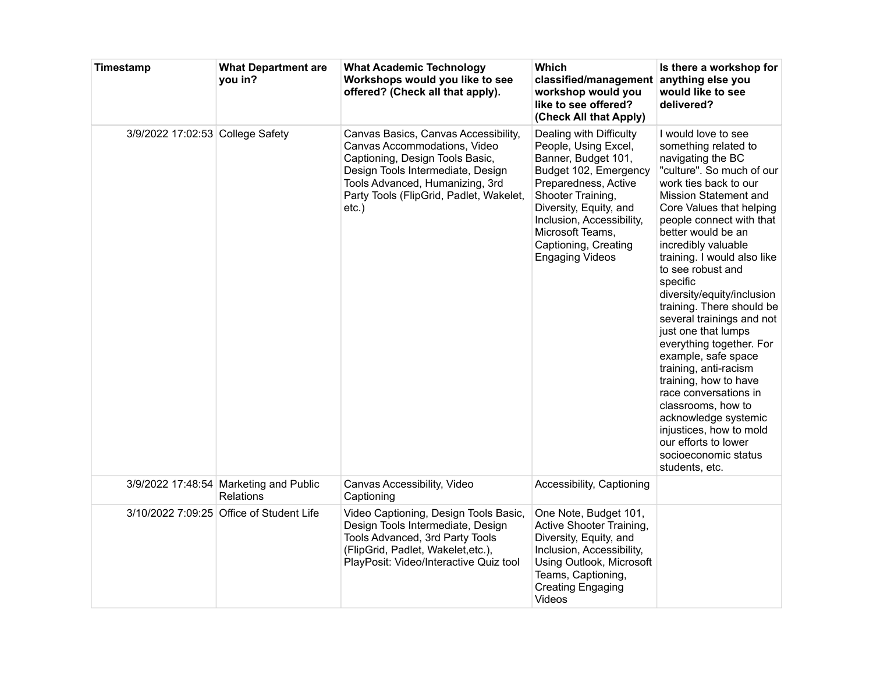| Timestamp                        | <b>What Department are</b><br>you in?               | <b>What Academic Technology</b><br>Workshops would you like to see<br>offered? (Check all that apply).                                                                                                                                 | Which<br>classified/management<br>workshop would you<br>like to see offered?<br>(Check All that Apply)                                                                                                                                                                    | Is there a workshop for<br>anything else you<br>would like to see<br>delivered?                                                                                                                                                                                                                                                                                                                                                                                                                                                                                                                                                                                                                              |
|----------------------------------|-----------------------------------------------------|----------------------------------------------------------------------------------------------------------------------------------------------------------------------------------------------------------------------------------------|---------------------------------------------------------------------------------------------------------------------------------------------------------------------------------------------------------------------------------------------------------------------------|--------------------------------------------------------------------------------------------------------------------------------------------------------------------------------------------------------------------------------------------------------------------------------------------------------------------------------------------------------------------------------------------------------------------------------------------------------------------------------------------------------------------------------------------------------------------------------------------------------------------------------------------------------------------------------------------------------------|
| 3/9/2022 17:02:53 College Safety |                                                     | Canvas Basics, Canvas Accessibility,<br>Canvas Accommodations, Video<br>Captioning, Design Tools Basic,<br>Design Tools Intermediate, Design<br>Tools Advanced, Humanizing, 3rd<br>Party Tools (FlipGrid, Padlet, Wakelet,<br>$etc.$ ) | Dealing with Difficulty<br>People, Using Excel,<br>Banner, Budget 101,<br>Budget 102, Emergency<br>Preparedness, Active<br>Shooter Training,<br>Diversity, Equity, and<br>Inclusion, Accessibility,<br>Microsoft Teams,<br>Captioning, Creating<br><b>Engaging Videos</b> | I would love to see<br>something related to<br>navigating the BC<br>"culture". So much of our<br>work ties back to our<br>Mission Statement and<br>Core Values that helping<br>people connect with that<br>better would be an<br>incredibly valuable<br>training. I would also like<br>to see robust and<br>specific<br>diversity/equity/inclusion<br>training. There should be<br>several trainings and not<br>just one that lumps<br>everything together. For<br>example, safe space<br>training, anti-racism<br>training, how to have<br>race conversations in<br>classrooms, how to<br>acknowledge systemic<br>injustices, how to mold<br>our efforts to lower<br>socioeconomic status<br>students, etc. |
|                                  | 3/9/2022 17:48:54 Marketing and Public<br>Relations | Canvas Accessibility, Video<br>Captioning                                                                                                                                                                                              | Accessibility, Captioning                                                                                                                                                                                                                                                 |                                                                                                                                                                                                                                                                                                                                                                                                                                                                                                                                                                                                                                                                                                              |
|                                  | 3/10/2022 7:09:25 Office of Student Life            | Video Captioning, Design Tools Basic,<br>Design Tools Intermediate, Design<br>Tools Advanced, 3rd Party Tools<br>(FlipGrid, Padlet, Wakelet, etc.),<br>PlayPosit: Video/Interactive Quiz tool                                          | One Note, Budget 101,<br>Active Shooter Training,<br>Diversity, Equity, and<br>Inclusion, Accessibility,<br>Using Outlook, Microsoft<br>Teams, Captioning,<br><b>Creating Engaging</b><br>Videos                                                                          |                                                                                                                                                                                                                                                                                                                                                                                                                                                                                                                                                                                                                                                                                                              |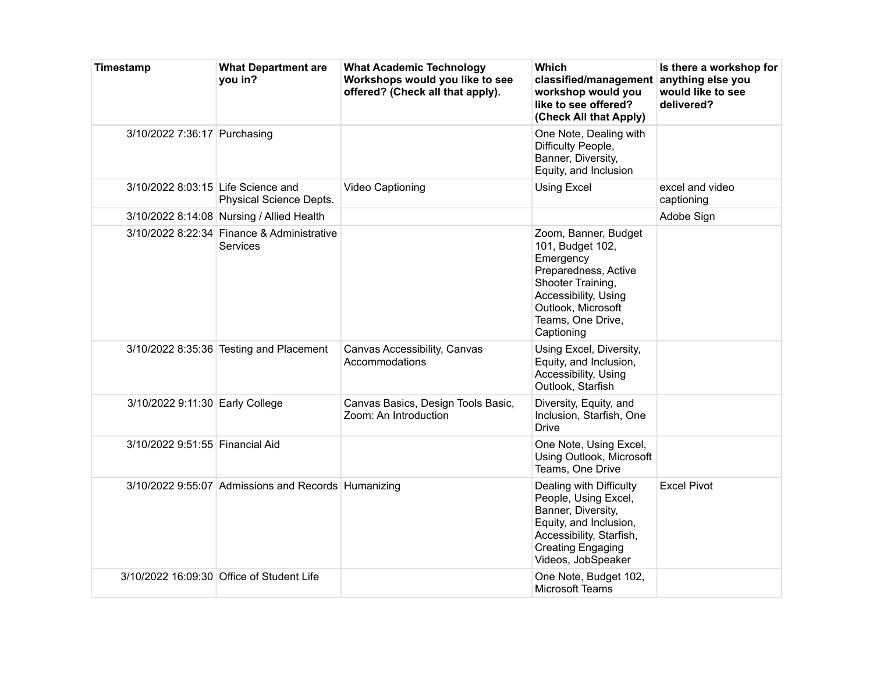| Timestamp                          | <b>What Department are</b><br>you in?                  | <b>What Academic Technology</b><br>Workshops would you like to see<br>offered? (Check all that apply). | <b>Which</b><br>classified/management anything else you<br>workshop would you<br>like to see offered?<br>(Check All that Apply)                                                     | Is there a workshop for<br>would like to see<br>delivered? |
|------------------------------------|--------------------------------------------------------|--------------------------------------------------------------------------------------------------------|-------------------------------------------------------------------------------------------------------------------------------------------------------------------------------------|------------------------------------------------------------|
| 3/10/2022 7:36:17 Purchasing       |                                                        |                                                                                                        | One Note, Dealing with<br>Difficulty People,<br>Banner, Diversity,<br>Equity, and Inclusion                                                                                         |                                                            |
| 3/10/2022 8:03:15 Life Science and | Physical Science Depts.                                | Video Captioning                                                                                       | <b>Using Excel</b>                                                                                                                                                                  | excel and video<br>captioning                              |
|                                    | 3/10/2022 8:14:08 Nursing / Allied Health              |                                                                                                        |                                                                                                                                                                                     | Adobe Sign                                                 |
|                                    | 3/10/2022 8:22:34 Finance & Administrative<br>Services |                                                                                                        | Zoom, Banner, Budget<br>101, Budget 102,<br>Emergency<br>Preparedness, Active<br>Shooter Training,<br>Accessibility, Using<br>Outlook, Microsoft<br>Teams, One Drive,<br>Captioning |                                                            |
|                                    | 3/10/2022 8:35:36 Testing and Placement                | Canvas Accessibility, Canvas<br>Accommodations                                                         | Using Excel, Diversity,<br>Equity, and Inclusion,<br>Accessibility, Using<br>Outlook, Starfish                                                                                      |                                                            |
| 3/10/2022 9:11:30 Early College    |                                                        | Canvas Basics, Design Tools Basic,<br>Zoom: An Introduction                                            | Diversity, Equity, and<br>Inclusion, Starfish, One<br><b>Drive</b>                                                                                                                  |                                                            |
| 3/10/2022 9:51:55 Financial Aid    |                                                        |                                                                                                        | One Note, Using Excel,<br>Using Outlook, Microsoft<br>Teams, One Drive                                                                                                              |                                                            |
|                                    | 3/10/2022 9:55:07 Admissions and Records Humanizing    |                                                                                                        | Dealing with Difficulty<br>People, Using Excel,<br>Banner, Diversity,<br>Equity, and Inclusion,<br>Accessibility, Starfish,<br><b>Creating Engaging</b><br>Videos, JobSpeaker       | <b>Excel Pivot</b>                                         |
|                                    | 3/10/2022 16:09:30 Office of Student Life              |                                                                                                        | One Note, Budget 102,<br><b>Microsoft Teams</b>                                                                                                                                     |                                                            |